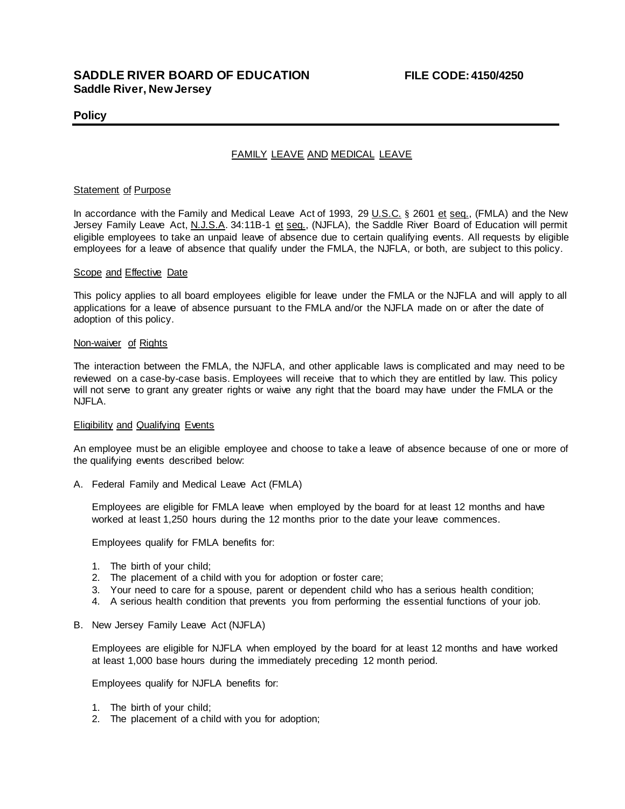# **SADDLE RIVER BOARD OF EDUCATION FILE CODE: 4150/4250 Saddle River, New Jersey**

## **Policy**

# FAMILY LEAVE AND MEDICAL LEAVE

#### **Statement of Purpose**

In accordance with the Family and Medical Leave Act of 1993, 29 U.S.C. § 2601 et seq., (FMLA) and the New Jersey Family Leave Act, N.J.S.A. 34:11B-1 et seq., (NJFLA), the Saddle River Board of Education will permit eligible employees to take an unpaid leave of absence due to certain qualifying events. All requests by eligible employees for a leave of absence that qualify under the FMLA, the NJFLA, or both, are subject to this policy.

#### Scope and Effective Date

This policy applies to all board employees eligible for leave under the FMLA or the NJFLA and will apply to all applications for a leave of absence pursuant to the FMLA and/or the NJFLA made on or after the date of adoption of this policy.

#### Non-waiver of Rights

The interaction between the FMLA, the NJFLA, and other applicable laws is complicated and may need to be reviewed on a case-by-case basis. Employees will receive that to which they are entitled by law. This policy will not serve to grant any greater rights or waive any right that the board may have under the FMLA or the NJFLA.

#### **Eligibility and Qualifying Events**

An employee must be an eligible employee and choose to take a leave of absence because of one or more of the qualifying events described below:

A. Federal Family and Medical Leave Act (FMLA)

Employees are eligible for FMLA leave when employed by the board for at least 12 months and have worked at least 1,250 hours during the 12 months prior to the date your leave commences.

Employees qualify for FMLA benefits for:

- 1. The birth of your child;
- 2. The placement of a child with you for adoption or foster care;
- 3. Your need to care for a spouse, parent or dependent child who has a serious health condition;
- 4. A serious health condition that prevents you from performing the essential functions of your job.
- B. New Jersey Family Leave Act (NJFLA)

Employees are eligible for NJFLA when employed by the board for at least 12 months and have worked at least 1,000 base hours during the immediately preceding 12 month period.

Employees qualify for NJFLA benefits for:

- 1. The birth of your child;
- 2. The placement of a child with you for adoption;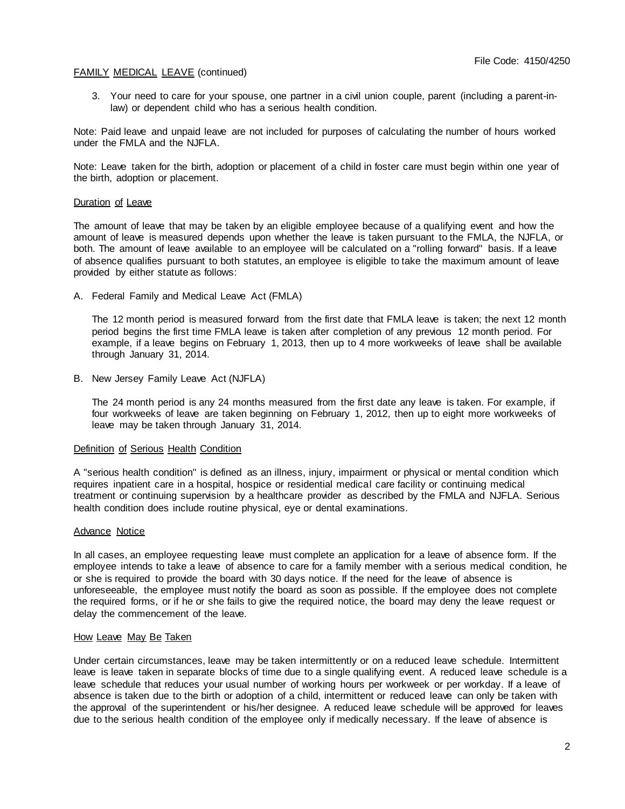3. Your need to care for your spouse, one partner in a civil union couple, parent (including a parent-inlaw) or dependent child who has a serious health condition.

Note: Paid leave and unpaid leave are not included for purposes of calculating the number of hours worked under the FMLA and the NJFLA.

Note: Leave taken for the birth, adoption or placement of a child in foster care must begin within one year of the birth, adoption or placement.

#### Duration of Leave

The amount of leave that may be taken by an eligible employee because of a qualifying event and how the amount of leave is measured depends upon whether the leave is taken pursuant to the FMLA, the NJFLA, or both. The amount of leave available to an employee will be calculated on a "rolling forward" basis. If a leave of absence qualifies pursuant to both statutes, an employee is eligible to take the maximum amount of leave provided by either statute as follows:

A. Federal Family and Medical Leave Act (FMLA)

The 12 month period is measured forward from the first date that FMLA leave is taken; the next 12 month period begins the first time FMLA leave is taken after completion of any previous 12 month period. For example, if a leave begins on February 1, 2013, then up to 4 more workweeks of leave shall be available through January 31, 2014.

B. New Jersey Family Leave Act (NJFLA)

The 24 month period is any 24 months measured from the first date any leave is taken. For example, if four workweeks of leave are taken beginning on February 1, 2012, then up to eight more workweeks of leave may be taken through January 31, 2014.

### Definition of Serious Health Condition

A "serious health condition" is defined as an illness, injury, impairment or physical or mental condition which requires inpatient care in a hospital, hospice or residential medical care facility or continuing medical treatment or continuing supervision by a healthcare provider as described by the FMLA and NJFLA. Serious health condition does include routine physical, eye or dental examinations.

### Advance Notice

In all cases, an employee requesting leave must complete an application for a leave of absence form. If the employee intends to take a leave of absence to care for a family member with a serious medical condition, he or she is required to provide the board with 30 days notice. If the need for the leave of absence is unforeseeable, the employee must notify the board as soon as possible. If the employee does not complete the required forms, or if he or she fails to give the required notice, the board may deny the leave request or delay the commencement of the leave.

### How Leave May Be Taken

Under certain circumstances, leave may be taken intermittently or on a reduced leave schedule. Intermittent leave is leave taken in separate blocks of time due to a single qualifying event. A reduced leave schedule is a leave schedule that reduces your usual number of working hours per workweek or per workday. If a leave of absence is taken due to the birth or adoption of a child, intermittent or reduced leave can only be taken with the approval of the superintendent or his/her designee. A reduced leave schedule will be approved for leaves due to the serious health condition of the employee only if medically necessary. If the leave of absence is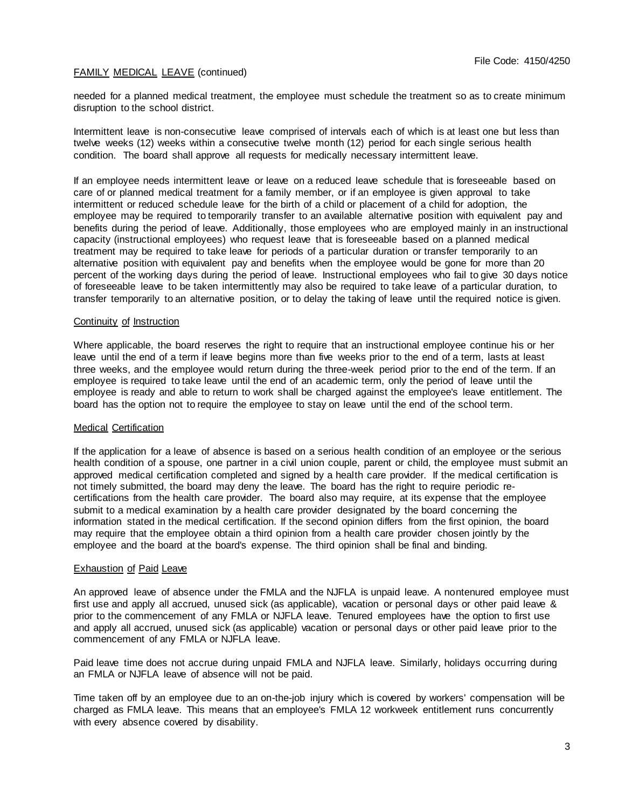needed for a planned medical treatment, the employee must schedule the treatment so as to create minimum disruption to the school district.

Intermittent leave is non-consecutive leave comprised of intervals each of which is at least one but less than twelve weeks (12) weeks within a consecutive twelve month (12) period for each single serious health condition. The board shall approve all requests for medically necessary intermittent leave.

If an employee needs intermittent leave or leave on a reduced leave schedule that is foreseeable based on care of or planned medical treatment for a family member, or if an employee is given approval to take intermittent or reduced schedule leave for the birth of a child or placement of a child for adoption, the employee may be required to temporarily transfer to an available alternative position with equivalent pay and benefits during the period of leave. Additionally, those employees who are employed mainly in an instructional capacity (instructional employees) who request leave that is foreseeable based on a planned medical treatment may be required to take leave for periods of a particular duration or transfer temporarily to an alternative position with equivalent pay and benefits when the employee would be gone for more than 20 percent of the working days during the period of leave. Instructional employees who fail to give 30 days notice of foreseeable leave to be taken intermittently may also be required to take leave of a particular duration, to transfer temporarily to an alternative position, or to delay the taking of leave until the required notice is given.

### Continuity of Instruction

Where applicable, the board reserves the right to require that an instructional employee continue his or her leave until the end of a term if leave begins more than five weeks prior to the end of a term, lasts at least three weeks, and the employee would return during the three-week period prior to the end of the term. If an employee is required to take leave until the end of an academic term, only the period of leave until the employee is ready and able to return to work shall be charged against the employee's leave entitlement. The board has the option not to require the employee to stay on leave until the end of the school term.

### Medical Certification

If the application for a leave of absence is based on a serious health condition of an employee or the serious health condition of a spouse, one partner in a civil union couple, parent or child, the employee must submit an approved medical certification completed and signed by a health care provider. If the medical certification is not timely submitted, the board may deny the leave. The board has the right to require periodic recertifications from the health care provider. The board also may require, at its expense that the employee submit to a medical examination by a health care provider designated by the board concerning the information stated in the medical certification. If the second opinion differs from the first opinion, the board may require that the employee obtain a third opinion from a health care provider chosen jointly by the employee and the board at the board's expense. The third opinion shall be final and binding.

### **Exhaustion of Paid Leave**

An approved leave of absence under the FMLA and the NJFLA is unpaid leave. A nontenured employee must first use and apply all accrued, unused sick (as applicable), vacation or personal days or other paid leave & prior to the commencement of any FMLA or NJFLA leave. Tenured employees have the option to first use and apply all accrued, unused sick (as applicable) vacation or personal days or other paid leave prior to the commencement of any FMLA or NJFLA leave.

Paid leave time does not accrue during unpaid FMLA and NJFLA leave. Similarly, holidays occurring during an FMLA or NJFLA leave of absence will not be paid.

Time taken off by an employee due to an on-the-job injury which is covered by workers' compensation will be charged as FMLA leave. This means that an employee's FMLA 12 workweek entitlement runs concurrently with every absence covered by disability.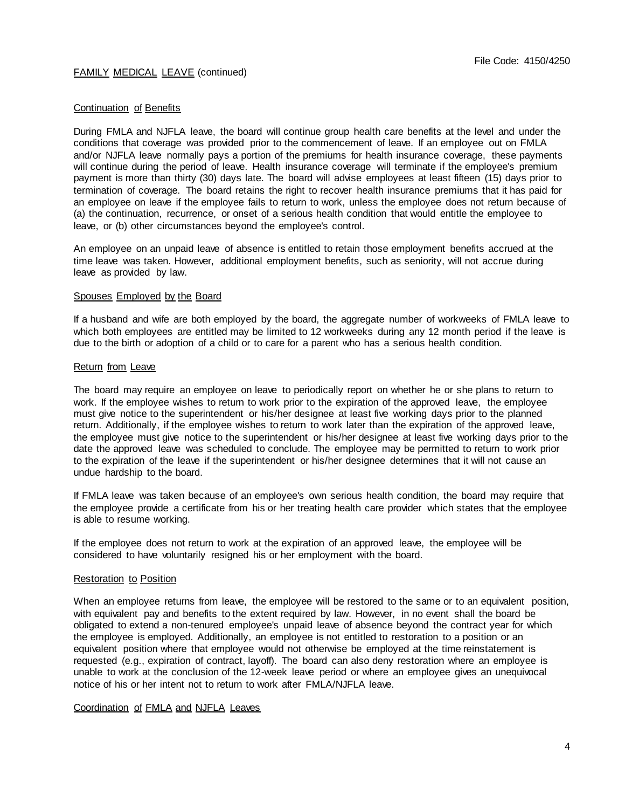#### Continuation of Benefits

During FMLA and NJFLA leave, the board will continue group health care benefits at the level and under the conditions that coverage was provided prior to the commencement of leave. If an employee out on FMLA and/or NJFLA leave normally pays a portion of the premiums for health insurance coverage, these payments will continue during the period of leave. Health insurance coverage will terminate if the employee's premium payment is more than thirty (30) days late. The board will advise employees at least fifteen (15) days prior to termination of coverage. The board retains the right to recover health insurance premiums that it has paid for an employee on leave if the employee fails to return to work, unless the employee does not return because of (a) the continuation, recurrence, or onset of a serious health condition that would entitle the employee to leave, or (b) other circumstances beyond the employee's control.

An employee on an unpaid leave of absence is entitled to retain those employment benefits accrued at the time leave was taken. However, additional employment benefits, such as seniority, will not accrue during leave as provided by law.

#### Spouses Employed by the Board

If a husband and wife are both employed by the board, the aggregate number of workweeks of FMLA leave to which both employees are entitled may be limited to 12 workweeks during any 12 month period if the leave is due to the birth or adoption of a child or to care for a parent who has a serious health condition.

#### Return from Leave

The board may require an employee on leave to periodically report on whether he or she plans to return to work. If the employee wishes to return to work prior to the expiration of the approved leave, the employee must give notice to the superintendent or his/her designee at least five working days prior to the planned return. Additionally, if the employee wishes to return to work later than the expiration of the approved leave, the employee must give notice to the superintendent or his/her designee at least five working days prior to the date the approved leave was scheduled to conclude. The employee may be permitted to return to work prior to the expiration of the leave if the superintendent or his/her designee determines that it will not cause an undue hardship to the board.

If FMLA leave was taken because of an employee's own serious health condition, the board may require that the employee provide a certificate from his or her treating health care provider which states that the employee is able to resume working.

If the employee does not return to work at the expiration of an approved leave, the employee will be considered to have voluntarily resigned his or her employment with the board.

#### Restoration to Position

When an employee returns from leave, the employee will be restored to the same or to an equivalent position, with equivalent pay and benefits to the extent required by law. However, in no event shall the board be obligated to extend a non-tenured employee's unpaid leave of absence beyond the contract year for which the employee is employed. Additionally, an employee is not entitled to restoration to a position or an equivalent position where that employee would not otherwise be employed at the time reinstatement is requested (e.g., expiration of contract, layoff). The board can also deny restoration where an employee is unable to work at the conclusion of the 12-week leave period or where an employee gives an unequivocal notice of his or her intent not to return to work after FMLA/NJFLA leave.

## Coordination of FMLA and NJFLA Leaves